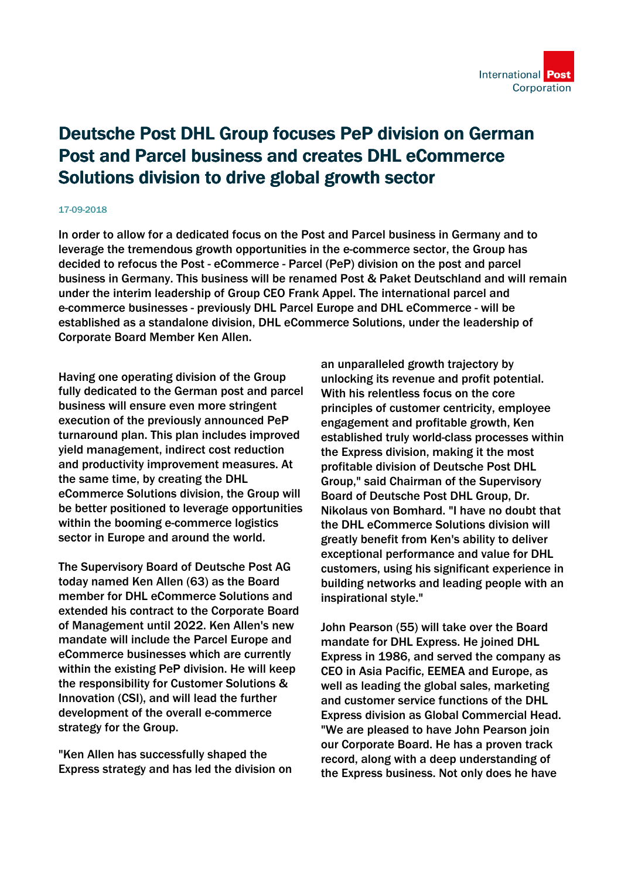

## Deutsche Post DHL Group focuses PeP division on German Post and Parcel business and creates DHL eCommerce Solutions division to drive global growth sector

## 17-09-2018

In order to allow for a dedicated focus on the Post and Parcel business in Germany and to leverage the tremendous growth opportunities in the e-commerce sector, the Group has decided to refocus the Post - eCommerce - Parcel (PeP) division on the post and parcel business in Germany. This business will be renamed Post & Paket Deutschland and will remain under the interim leadership of Group CEO Frank Appel. The international parcel and e-commerce businesses - previously DHL Parcel Europe and DHL eCommerce - will be established as a standalone division, DHL eCommerce Solutions, under the leadership of Corporate Board Member Ken Allen.

Having one operating division of the Group fully dedicated to the German post and parcel business will ensure even more stringent execution of the previously announced PeP turnaround plan. This plan includes improved yield management, indirect cost reduction and productivity improvement measures. At the same time, by creating the DHL eCommerce Solutions division, the Group will be better positioned to leverage opportunities within the booming e-commerce logistics sector in Europe and around the world.

The Supervisory Board of Deutsche Post AG today named Ken Allen (63) as the Board member for DHL eCommerce Solutions and extended his contract to the Corporate Board of Management until 2022. Ken Allen's new mandate will include the Parcel Europe and eCommerce businesses which are currently within the existing PeP division. He will keep the responsibility for Customer Solutions & Innovation (CSI), and will lead the further development of the overall e-commerce strategy for the Group.

"Ken Allen has successfully shaped the Express strategy and has led the division on an unparalleled growth trajectory by unlocking its revenue and profit potential. With his relentless focus on the core principles of customer centricity, employee engagement and profitable growth, Ken established truly world-class processes within the Express division, making it the most profitable division of Deutsche Post DHL Group," said Chairman of the Supervisory Board of Deutsche Post DHL Group, Dr. Nikolaus von Bomhard. "I have no doubt that the DHL eCommerce Solutions division will greatly benefit from Ken's ability to deliver exceptional performance and value for DHL customers, using his significant experience in building networks and leading people with an inspirational style."

John Pearson (55) will take over the Board mandate for DHL Express. He joined DHL Express in 1986, and served the company as CEO in Asia Pacific, EEMEA and Europe, as well as leading the global sales, marketing and customer service functions of the DHL Express division as Global Commercial Head. "We are pleased to have John Pearson join our Corporate Board. He has a proven track record, along with a deep understanding of the Express business. Not only does he have